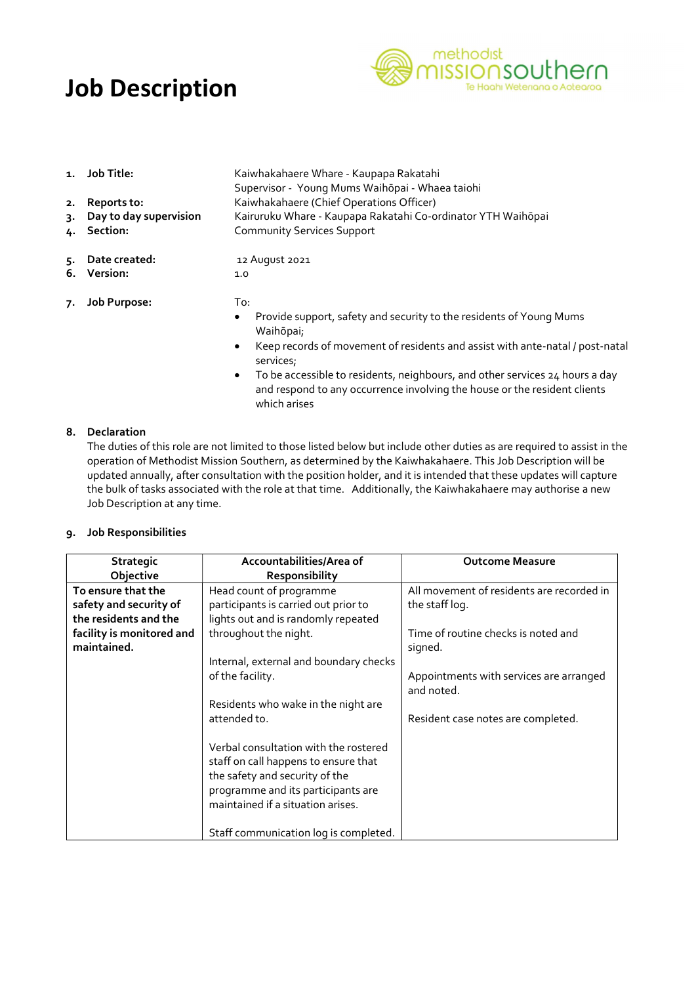# Job Description



- 1. Job Title: Kaiwhakahaere Whare Kaupapa Rakatahi
- 2. **Reports to:** Kaiwhakahaere (Chief Operations Officer)
- 3. Day to day supervision Kairuruku Whare Kaupapa Rakatahi Co-ordinator YTH Waihōpai
- 4. Section: Community Services Support
- 5. Date created: 12 August 2021
- 6. Version: 1.0
- 7. Job Purpose: To:
	- Provide support, safety and security to the residents of Young Mums Waihōpai;
	- Keep records of movement of residents and assist with ante-natal / post-natal services;
	- To be accessible to residents, neighbours, and other services 24 hours a day and respond to any occurrence involving the house or the resident clients which arises

#### 8. Declaration

The duties of this role are not limited to those listed below but include other duties as are required to assist in the operation of Methodist Mission Southern, as determined by the Kaiwhakahaere. This Job Description will be updated annually, after consultation with the position holder, and it is intended that these updates will capture the bulk of tasks associated with the role at that time. Additionally, the Kaiwhakahaere may authorise a new Job Description at any time.

Supervisor - Young Mums Waihōpai - Whaea taiohi

#### 9. Job Responsibilities

| Strategic                 | Accountabilities/Area of                                                                                                                                                                   | <b>Outcome Measure</b>                                |
|---------------------------|--------------------------------------------------------------------------------------------------------------------------------------------------------------------------------------------|-------------------------------------------------------|
| Objective                 | <b>Responsibility</b>                                                                                                                                                                      |                                                       |
| To ensure that the        | Head count of programme                                                                                                                                                                    | All movement of residents are recorded in             |
| safety and security of    | participants is carried out prior to                                                                                                                                                       | the staff log.                                        |
| the residents and the     | lights out and is randomly repeated                                                                                                                                                        |                                                       |
| facility is monitored and | throughout the night.                                                                                                                                                                      | Time of routine checks is noted and                   |
| maintained.               |                                                                                                                                                                                            | signed.                                               |
|                           | Internal, external and boundary checks                                                                                                                                                     |                                                       |
|                           | of the facility.                                                                                                                                                                           | Appointments with services are arranged<br>and noted. |
|                           | Residents who wake in the night are                                                                                                                                                        |                                                       |
|                           | attended to.                                                                                                                                                                               | Resident case notes are completed.                    |
|                           | Verbal consultation with the rostered<br>staff on call happens to ensure that<br>the safety and security of the<br>programme and its participants are<br>maintained if a situation arises. |                                                       |
|                           | Staff communication log is completed.                                                                                                                                                      |                                                       |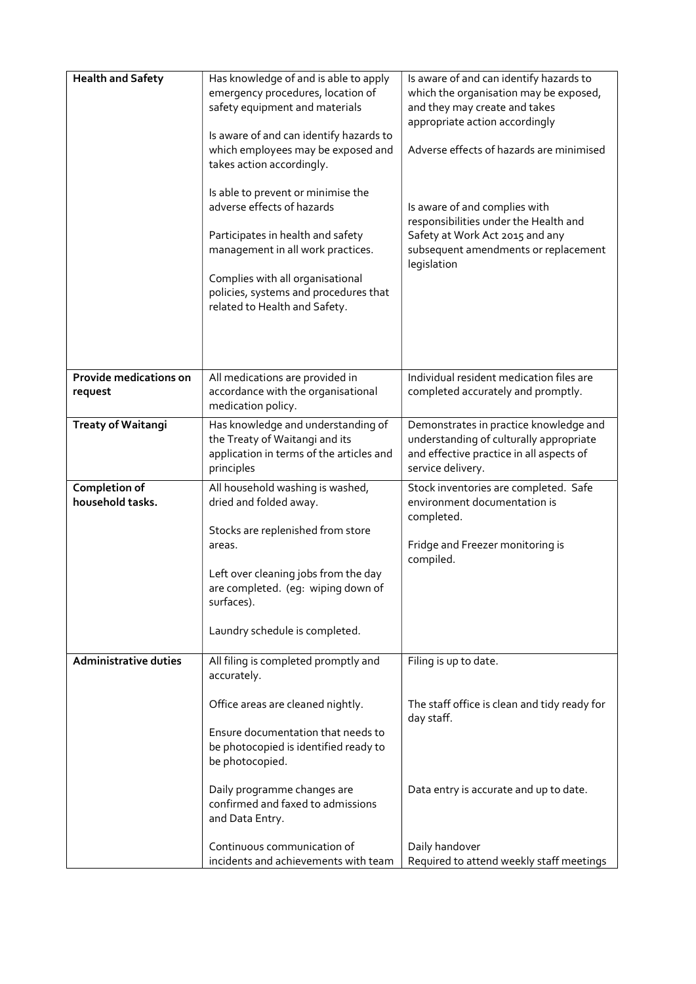| <b>Health and Safety</b>          | Has knowledge of and is able to apply<br>emergency procedures, location of<br>safety equipment and materials<br>Is aware of and can identify hazards to<br>which employees may be exposed and<br>takes action accordingly.<br>Is able to prevent or minimise the | Is aware of and can identify hazards to<br>which the organisation may be exposed,<br>and they may create and takes<br>appropriate action accordingly<br>Adverse effects of hazards are minimised |
|-----------------------------------|------------------------------------------------------------------------------------------------------------------------------------------------------------------------------------------------------------------------------------------------------------------|--------------------------------------------------------------------------------------------------------------------------------------------------------------------------------------------------|
|                                   | adverse effects of hazards<br>Participates in health and safety<br>management in all work practices.<br>Complies with all organisational<br>policies, systems and procedures that<br>related to Health and Safety.                                               | Is aware of and complies with<br>responsibilities under the Health and<br>Safety at Work Act 2015 and any<br>subsequent amendments or replacement<br>legislation                                 |
| Provide medications on<br>request | All medications are provided in<br>accordance with the organisational<br>medication policy.                                                                                                                                                                      | Individual resident medication files are<br>completed accurately and promptly.                                                                                                                   |
| <b>Treaty of Waitangi</b>         | Has knowledge and understanding of<br>the Treaty of Waitangi and its<br>application in terms of the articles and<br>principles                                                                                                                                   | Demonstrates in practice knowledge and<br>understanding of culturally appropriate<br>and effective practice in all aspects of<br>service delivery.                                               |
| Completion of<br>household tasks. | All household washing is washed,<br>dried and folded away.<br>Stocks are replenished from store<br>areas.<br>Left over cleaning jobs from the day<br>are completed. (eg: wiping down of                                                                          | Stock inventories are completed. Safe<br>environment documentation is<br>completed.<br>Fridge and Freezer monitoring is<br>compiled.                                                             |
|                                   | surfaces).<br>Laundry schedule is completed.                                                                                                                                                                                                                     |                                                                                                                                                                                                  |
| <b>Administrative duties</b>      | All filing is completed promptly and<br>accurately.                                                                                                                                                                                                              | Filing is up to date.                                                                                                                                                                            |
|                                   | Office areas are cleaned nightly.<br>Ensure documentation that needs to<br>be photocopied is identified ready to<br>be photocopied.                                                                                                                              | The staff office is clean and tidy ready for<br>day staff.                                                                                                                                       |
|                                   | Daily programme changes are<br>confirmed and faxed to admissions<br>and Data Entry.                                                                                                                                                                              | Data entry is accurate and up to date.                                                                                                                                                           |
|                                   | Continuous communication of<br>incidents and achievements with team                                                                                                                                                                                              | Daily handover<br>Required to attend weekly staff meetings                                                                                                                                       |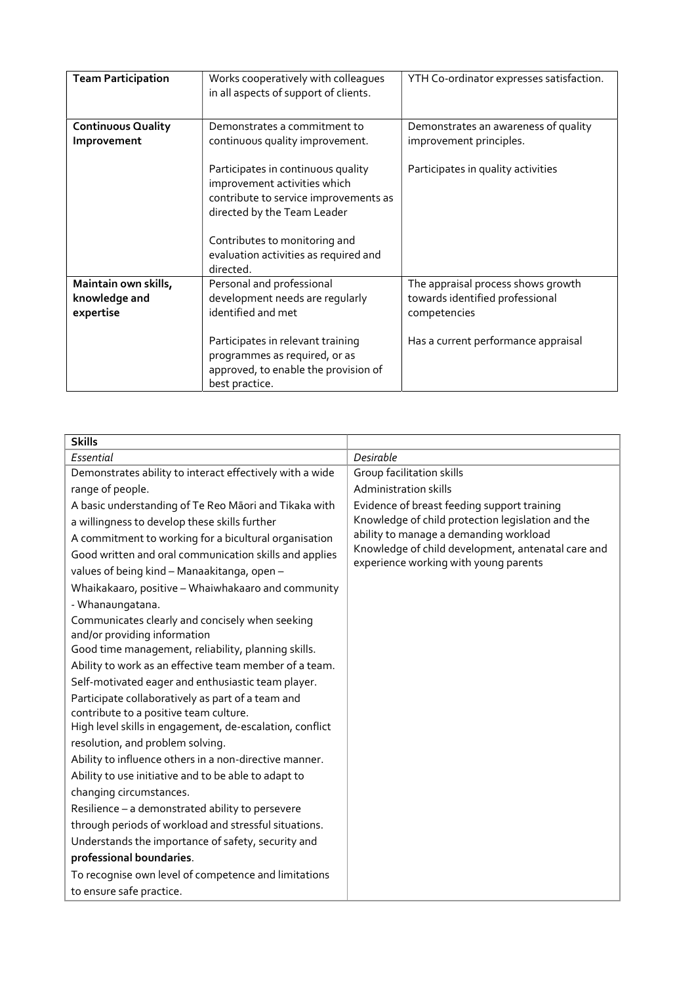| <b>Team Participation</b>                | Works cooperatively with colleagues<br>in all aspects of support of clients.                                                                                                                                                      | YTH Co-ordinator expresses satisfaction.                              |
|------------------------------------------|-----------------------------------------------------------------------------------------------------------------------------------------------------------------------------------------------------------------------------------|-----------------------------------------------------------------------|
| <b>Continuous Quality</b><br>Improvement | Demonstrates a commitment to<br>continuous quality improvement.                                                                                                                                                                   | Demonstrates an awareness of quality<br>improvement principles.       |
|                                          | Participates in continuous quality<br>improvement activities which<br>contribute to service improvements as<br>directed by the Team Leader<br>Contributes to monitoring and<br>evaluation activities as required and<br>directed. | Participates in quality activities                                    |
| Maintain own skills,<br>knowledge and    | Personal and professional<br>development needs are reqularly                                                                                                                                                                      | The appraisal process shows growth<br>towards identified professional |
| expertise                                | identified and met                                                                                                                                                                                                                | competencies                                                          |
|                                          | Participates in relevant training<br>programmes as required, or as<br>approved, to enable the provision of<br>best practice.                                                                                                      | Has a current performance appraisal                                   |

| <b>Skills</b>                                                                                                                                                                                                                                                                                                                                                                                                                                                                                                                                                                                                                                                                                                                                                                                                                                                                                                                                                                                                                                                                                                                                                                                                                               |                                                                                                                                                                                                                                           |
|---------------------------------------------------------------------------------------------------------------------------------------------------------------------------------------------------------------------------------------------------------------------------------------------------------------------------------------------------------------------------------------------------------------------------------------------------------------------------------------------------------------------------------------------------------------------------------------------------------------------------------------------------------------------------------------------------------------------------------------------------------------------------------------------------------------------------------------------------------------------------------------------------------------------------------------------------------------------------------------------------------------------------------------------------------------------------------------------------------------------------------------------------------------------------------------------------------------------------------------------|-------------------------------------------------------------------------------------------------------------------------------------------------------------------------------------------------------------------------------------------|
| Essential                                                                                                                                                                                                                                                                                                                                                                                                                                                                                                                                                                                                                                                                                                                                                                                                                                                                                                                                                                                                                                                                                                                                                                                                                                   | Desirable                                                                                                                                                                                                                                 |
| Demonstrates ability to interact effectively with a wide                                                                                                                                                                                                                                                                                                                                                                                                                                                                                                                                                                                                                                                                                                                                                                                                                                                                                                                                                                                                                                                                                                                                                                                    | Group facilitation skills                                                                                                                                                                                                                 |
| range of people.                                                                                                                                                                                                                                                                                                                                                                                                                                                                                                                                                                                                                                                                                                                                                                                                                                                                                                                                                                                                                                                                                                                                                                                                                            | <b>Administration skills</b>                                                                                                                                                                                                              |
| A basic understanding of Te Reo Māori and Tikaka with<br>a willingness to develop these skills further<br>A commitment to working for a bicultural organisation<br>Good written and oral communication skills and applies<br>values of being kind - Manaakitanga, open -<br>Whaikakaaro, positive - Whaiwhakaaro and community<br>- Whanaungatana.<br>Communicates clearly and concisely when seeking<br>and/or providing information<br>Good time management, reliability, planning skills.<br>Ability to work as an effective team member of a team.<br>Self-motivated eager and enthusiastic team player.<br>Participate collaboratively as part of a team and<br>contribute to a positive team culture.<br>High level skills in engagement, de-escalation, conflict<br>resolution, and problem solving.<br>Ability to influence others in a non-directive manner.<br>Ability to use initiative and to be able to adapt to<br>changing circumstances.<br>Resilience - a demonstrated ability to persevere<br>through periods of workload and stressful situations.<br>Understands the importance of safety, security and<br>professional boundaries.<br>To recognise own level of competence and limitations<br>to ensure safe practice. | Evidence of breast feeding support training<br>Knowledge of child protection legislation and the<br>ability to manage a demanding workload<br>Knowledge of child development, antenatal care and<br>experience working with young parents |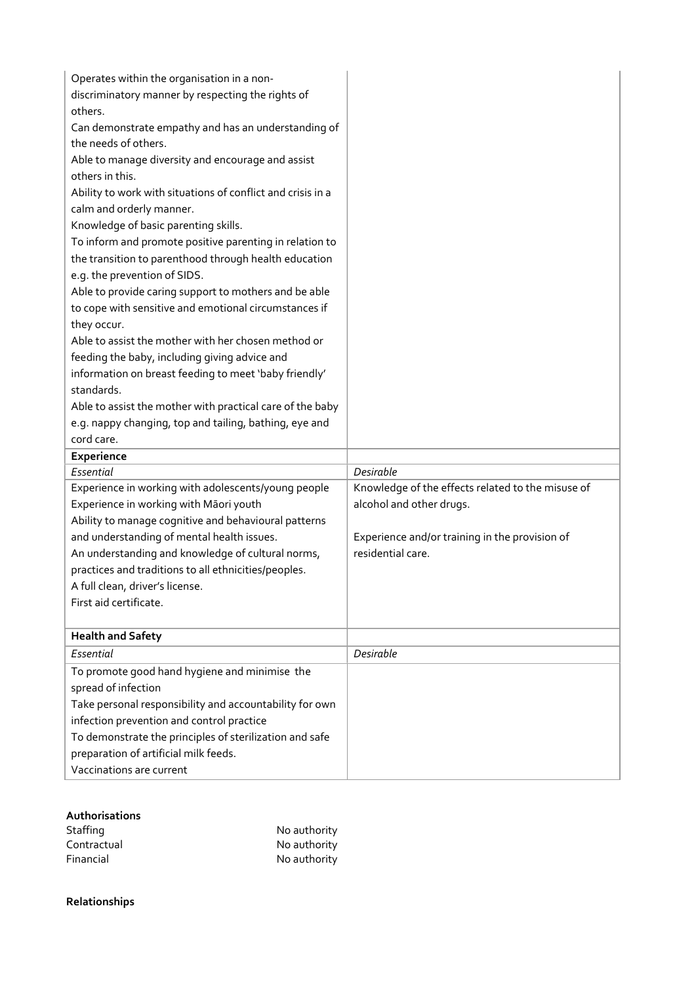| Operates within the organisation in a non-<br>discriminatory manner by respecting the rights of<br>others.<br>Can demonstrate empathy and has an understanding of<br>the needs of others.<br>Able to manage diversity and encourage and assist<br>others in this.<br>Ability to work with situations of conflict and crisis in a<br>calm and orderly manner.<br>Knowledge of basic parenting skills.<br>To inform and promote positive parenting in relation to<br>the transition to parenthood through health education<br>e.g. the prevention of SIDS.<br>Able to provide caring support to mothers and be able<br>to cope with sensitive and emotional circumstances if<br>they occur.<br>Able to assist the mother with her chosen method or<br>feeding the baby, including giving advice and |                                                   |
|---------------------------------------------------------------------------------------------------------------------------------------------------------------------------------------------------------------------------------------------------------------------------------------------------------------------------------------------------------------------------------------------------------------------------------------------------------------------------------------------------------------------------------------------------------------------------------------------------------------------------------------------------------------------------------------------------------------------------------------------------------------------------------------------------|---------------------------------------------------|
| information on breast feeding to meet 'baby friendly'                                                                                                                                                                                                                                                                                                                                                                                                                                                                                                                                                                                                                                                                                                                                             |                                                   |
| standards.                                                                                                                                                                                                                                                                                                                                                                                                                                                                                                                                                                                                                                                                                                                                                                                        |                                                   |
| Able to assist the mother with practical care of the baby                                                                                                                                                                                                                                                                                                                                                                                                                                                                                                                                                                                                                                                                                                                                         |                                                   |
| e.g. nappy changing, top and tailing, bathing, eye and                                                                                                                                                                                                                                                                                                                                                                                                                                                                                                                                                                                                                                                                                                                                            |                                                   |
| cord care.                                                                                                                                                                                                                                                                                                                                                                                                                                                                                                                                                                                                                                                                                                                                                                                        |                                                   |
| Experience                                                                                                                                                                                                                                                                                                                                                                                                                                                                                                                                                                                                                                                                                                                                                                                        |                                                   |
| Essential                                                                                                                                                                                                                                                                                                                                                                                                                                                                                                                                                                                                                                                                                                                                                                                         | Desirable                                         |
| Experience in working with adolescents/young people                                                                                                                                                                                                                                                                                                                                                                                                                                                                                                                                                                                                                                                                                                                                               | Knowledge of the effects related to the misuse of |
| Experience in working with Māori youth                                                                                                                                                                                                                                                                                                                                                                                                                                                                                                                                                                                                                                                                                                                                                            | alcohol and other drugs.                          |
| Ability to manage cognitive and behavioural patterns                                                                                                                                                                                                                                                                                                                                                                                                                                                                                                                                                                                                                                                                                                                                              |                                                   |
| and understanding of mental health issues.                                                                                                                                                                                                                                                                                                                                                                                                                                                                                                                                                                                                                                                                                                                                                        | Experience and/or training in the provision of    |
| An understanding and knowledge of cultural norms,                                                                                                                                                                                                                                                                                                                                                                                                                                                                                                                                                                                                                                                                                                                                                 | residential care.                                 |
| practices and traditions to all ethnicities/peoples.                                                                                                                                                                                                                                                                                                                                                                                                                                                                                                                                                                                                                                                                                                                                              |                                                   |
| A full clean, driver's license.                                                                                                                                                                                                                                                                                                                                                                                                                                                                                                                                                                                                                                                                                                                                                                   |                                                   |
| First aid certificate.                                                                                                                                                                                                                                                                                                                                                                                                                                                                                                                                                                                                                                                                                                                                                                            |                                                   |
| <b>Health and Safety</b>                                                                                                                                                                                                                                                                                                                                                                                                                                                                                                                                                                                                                                                                                                                                                                          |                                                   |
| Essential                                                                                                                                                                                                                                                                                                                                                                                                                                                                                                                                                                                                                                                                                                                                                                                         | Desirable                                         |
| To promote good hand hygiene and minimise the                                                                                                                                                                                                                                                                                                                                                                                                                                                                                                                                                                                                                                                                                                                                                     |                                                   |
| spread of infection                                                                                                                                                                                                                                                                                                                                                                                                                                                                                                                                                                                                                                                                                                                                                                               |                                                   |
| Take personal responsibility and accountability for own                                                                                                                                                                                                                                                                                                                                                                                                                                                                                                                                                                                                                                                                                                                                           |                                                   |
| infection prevention and control practice                                                                                                                                                                                                                                                                                                                                                                                                                                                                                                                                                                                                                                                                                                                                                         |                                                   |
| To demonstrate the principles of sterilization and safe                                                                                                                                                                                                                                                                                                                                                                                                                                                                                                                                                                                                                                                                                                                                           |                                                   |
| preparation of artificial milk feeds.                                                                                                                                                                                                                                                                                                                                                                                                                                                                                                                                                                                                                                                                                                                                                             |                                                   |
| Vaccinations are current                                                                                                                                                                                                                                                                                                                                                                                                                                                                                                                                                                                                                                                                                                                                                                          |                                                   |
|                                                                                                                                                                                                                                                                                                                                                                                                                                                                                                                                                                                                                                                                                                                                                                                                   |                                                   |

## Authorisations

| Staffing    | No authority |
|-------------|--------------|
| Contractual | No authority |
| Financial   | No authority |